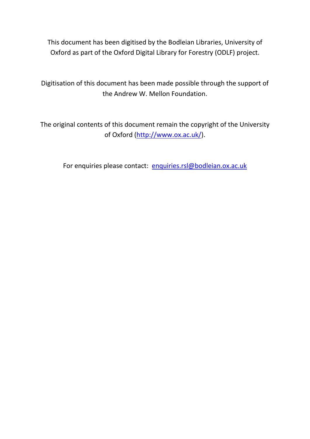This document has been digitised by the Bodleian Libraries, University of Oxford as part of the Oxford Digital Library for Forestry (ODLF) project.

Digitisation of this document has been made possible through the support of the Andrew W. Mellon Foundation.

The original contents of this document remain the copyright of the University of Oxford [\(http://www.ox.ac.uk/\)](http://www.ox.ac.uk/).

For enquiries please contact: [enquiries.rsl@bodleian.ox.ac.uk](mailto:enquiries.rsl@bodleian.ox.ac.uk)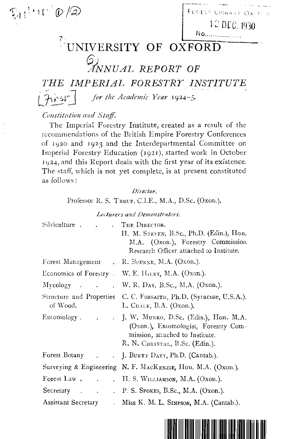$F_{\text{eff}}$ <sup>1</sup> **b**  $\big(\mathcal{D}\big)$   $\big(\mathcal{D}\big)$   $\big[\text{Foker Lism}_{\text{B}}(X)\big]$ 

12 DLC. 1930

## 'i' No . .**'UNIVERSITY OF OXFORD**

# \$' *"'ANNUAL REPORT* **OF**

*THE IMPERIAL FORESTRY INSTITUTE* 

 $7$ *for the Academic Year* 1924–5.

### *COllstitlition and Staff.*

The Imperial Forestry Institute, created as a result of the recommendations of the British Empire Forestry Conferences of 1920 and 1923 and the Interdepartmental Committee on Imperial Forestry Education (1921), started work in October 1924, and this Report deals with the first year of its existence. The staff, which is not yet complete, is at present constituted as follows:

#### *Director.*

Professor R. S. Troup, C.I.E., M.A., D.Sc. (Oxon.).

*Luturers and lJemonstrators.* 

| Silviculture.<br>$\ddot{\phantom{0}}$   | THE DIRECTOR.<br>H. M. STEVEN, B.Sc., Ph.D. (Edin.), Hon.<br>M.A. (Oxon.), Forestry Commission<br>Research Officer attached to Institute.            |
|-----------------------------------------|------------------------------------------------------------------------------------------------------------------------------------------------------|
|                                         | Forest Management . R. BOURNE, M.A. (Oxon.).                                                                                                         |
|                                         | Economics of Forestry . W. E. HILEY, M.A. (Oxon.).                                                                                                   |
| $Mycology$ .                            | . W. R. Day, B.Sc., M.A. (Oxon.).                                                                                                                    |
| of Wood.                                | Structure and Properties C. C. FORSAITH, Ph.D. (Syracuse, U.S.A.).<br>L. CHALK, B.A. (Oxon.).                                                        |
| Entomology.                             | . J. W. MUNRO, D.Sc. (Edin.), Hon. M.A.<br>(Oxon.), Entomologist, Forestry Com-<br>mission, attached to Institute.<br>R. N. CHRYSTAL, B.Sc. (Edin.). |
| Forest Botany .<br>$\ddot{\phantom{0}}$ | J. BURTT DAVY, Ph.D. (Cantab.).                                                                                                                      |
|                                         | Surveying & Engineering N. F. MACKENZIE, Hon. M.A. (Oxon.).                                                                                          |
| Forest Law.                             | H. S. WILLIMSON, M.A. (Oxon.).                                                                                                                       |
| Secretary<br>$\sim$ $\sim$ $\sim$       | $P. S.$ Spokes, B.Sc., M.A. (Oxon.).                                                                                                                 |
| Assistant Secretary<br>$\mathbf{r}$     | Miss K. M. L. SIMPSON, M.A. (Cantab.).                                                                                                               |

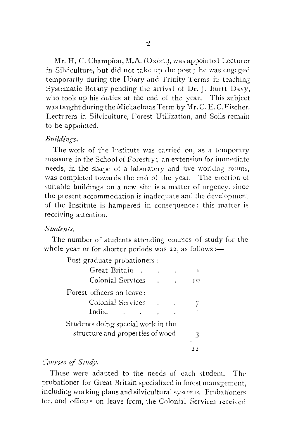Mr. H. G. Champion, M.A. (Oxon.), was appointed Lecturer in Silviculture, but did not take up the post; he was engaged temporarily during the Hilary and Trinity Terms in teaching Systematic Botany pending the arrival of Dr. J. Burtt Davy, who took up his duties at the end of the year. This subject was taught during the Michaelmas Term by Mr. C. E.C. Fischer. Lecturers in Silviculture, Forest Utilization, and Soils remain to be appointed.

#### *Buildings.*

The work of the Institute was carried on, as a temporary measure, in the School of Forestry; an extension for immediate needs, in the shape of a laboratory and five working rooms, was completed towards the end of the year. The erection of suitable buildings on a new site is a matter of urgency, since the present accommodation is inadequate and the development of the Institute is hampered in consequence: this matter is receiving attention.

#### *Studen ts.*

The number of students attending courses of study for the whole year or for shorter periods was 22, as follows:—

| Post-graduate probationers:        |    |  |
|------------------------------------|----|--|
| Great Britain                      |    |  |
| Colonial Services                  | JО |  |
| Forest officers on leave:          |    |  |
| Colonial Services                  |    |  |
| India.                             |    |  |
| Students doing special work in the |    |  |
| structure and properties of wood   |    |  |
|                                    |    |  |

#### Courses of Study.

These were adapted to the needs of eaeh student. The probationer for Great Britain specialized in forest management, including working plans and silvicultural systems. Probationers for, and officers on leave from, the Colonial Services received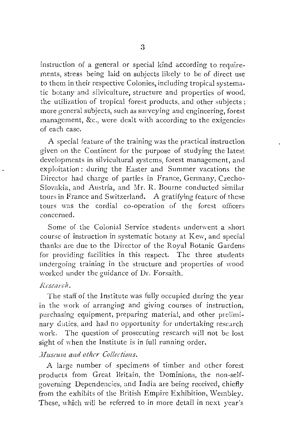instruction of a general or special kind according to requirements, stress being laid on subjects likely to be of direct use to them in their respective Colonies, including tropical systematic botany and silviculture, structure and properties of wood, the utilization of tropical forest products, and other subjects; more general subjects, such as surveying and engineering, forest management, &c., were dealt with according to the exigencies of each case.

A special feature of the training was the practical instruction given on the Continent for the purpose of studying the latest developments in silvicultural systems, forest management, and exploitation: during the Easter and Summer vacations the Director had charge of parties in France, Germany, Czecho-Slovakia, and Austria, and Mr. R. Bourne conducted similar tours in France and Switzerland. A gratifying feature of these tours was the cordial co-operation of the forest officers concerned.

Some of the Colonial Service students underwent a short course of instruction in systematic botany at Kew, and special thanks are due to the Director of the Royal Botanic Gardens for providing facilities in this respect. The three students undergoing training in the structure and properties of wood worked under the guidance of Dr. Forsaith.

#### *Research.*

The staff of the Institute was fully occupied during the year in the work of arranging and giving courses of instruction, purchasing equipment, preparing material, and other preliminary duties, and had no opportunity for undertaking research work. The question of prosecuting research will not be lost sight of when the Institute is in full running order.

#### *Museum and other Collections.*

A large number of specimens of timber and other forest products from Great Britain, the Dominions, the non-selfgoverning Dependencies, and India are being received, chiefly from the exhibits of the British Empire Exhibition, Wembley. These, which will be referred to in more detail in next year's